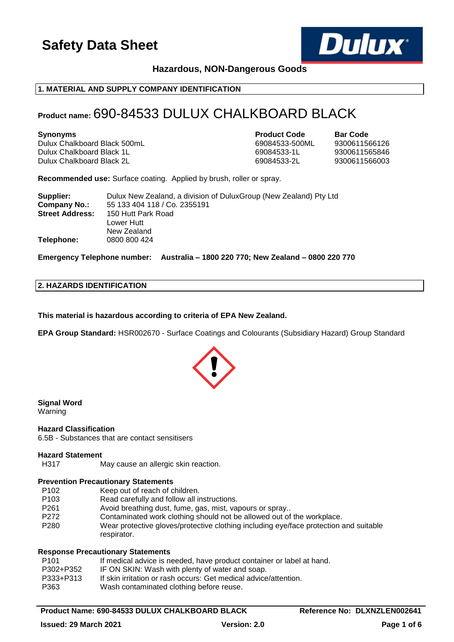

# **Hazardous, NON-Dangerous Goods**

# **1. MATERIAL AND SUPPLY COMPANY IDENTIFICATION**

# **Product name:** 690-84533 DULUX CHALKBOARD BLACK

Dulux Chalkboard Black 500mL 69084533-500ML 9300611566126 Dulux Chalkboard Black 1L 69084533-1L 9300611565846 Dulux Chalkboard Black 2L 69084533-2L 9300611566003

**Synonyms Product Code Bar Code**

**Recommended use:** Surface coating. Applied by brush, roller or spray.

| Supplier:              | Dulux New Zealand, a division of DuluxGroup (New Zealand) Pty Ltd |
|------------------------|-------------------------------------------------------------------|
| Company No.:           | 55 133 404 118 / Co. 2355191                                      |
| <b>Street Address:</b> | 150 Hutt Park Road                                                |
|                        | Lower Hutt                                                        |
|                        | New Zealand                                                       |
| Telephone:             | 0800 800 424                                                      |

**Emergency Telephone number: Australia – 1800 220 770; New Zealand – 0800 220 770**

### **2. HAZARDS IDENTIFICATION**

**This material is hazardous according to criteria of EPA New Zealand.**

**EPA Group Standard:** HSR002670 - Surface Coatings and Colourants (Subsidiary Hazard) Group Standard



# **Signal Word**

Warning

# **Hazard Classification**

6.5B - Substances that are contact sensitisers

### **Hazard Statement**

H317 May cause an allergic skin reaction.

### **Prevention Precautionary Statements**

- P102 Keep out of reach of children.
- P103 Read carefully and follow all instructions.
- P261 Avoid breathing dust, fume, gas, mist, vapours or spray..
- P272 Contaminated work clothing should not be allowed out of the workplace.
- P280 Wear protective gloves/protective clothing including eye/face protection and suitable respirator.

### **Response Precautionary Statements**

| If medical advice is needed, have product container or label at hand. |
|-----------------------------------------------------------------------|
| IF ON SKIN: Wash with plenty of water and soap.                       |
| If skin irritation or rash occurs: Get medical advice/attention.      |
| Wash contaminated clothing before reuse.                              |
|                                                                       |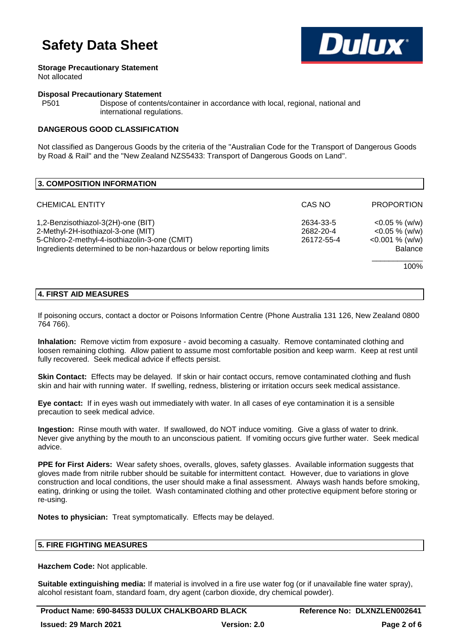

### **Storage Precautionary Statement**

Not allocated

### **Disposal Precautionary Statement**

P501 Dispose of contents/container in accordance with local, regional, national and international regulations.

# **DANGEROUS GOOD CLASSIFICATION**

Not classified as Dangerous Goods by the criteria of the "Australian Code for the Transport of Dangerous Goods by Road & Rail" and the "New Zealand NZS5433: Transport of Dangerous Goods on Land".

| 3. COMPOSITION INFORMATION                                                          |                         |                                        |
|-------------------------------------------------------------------------------------|-------------------------|----------------------------------------|
| <b>CHEMICAL ENTITY</b>                                                              | CAS NO                  | <b>PROPORTION</b>                      |
| 1,2-Benzisothiazol-3(2H)-one (BIT)                                                  | 2634-33-5               | $<$ 0.05 % (w/w)                       |
| 2-Methyl-2H-isothiazol-3-one (MIT)<br>5-Chloro-2-methyl-4-isothiazolin-3-one (CMIT) | 2682-20-4<br>26172-55-4 | $<$ 0.05 % (w/w)<br>$< 0.001 \%$ (w/w) |
| Ingredients determined to be non-hazardous or below reporting limits                |                         | <b>Balance</b>                         |
|                                                                                     |                         | 100%                                   |

# **4. FIRST AID MEASURES**

If poisoning occurs, contact a doctor or Poisons Information Centre (Phone Australia 131 126, New Zealand 0800 764 766).

**Inhalation:** Remove victim from exposure - avoid becoming a casualty. Remove contaminated clothing and loosen remaining clothing. Allow patient to assume most comfortable position and keep warm. Keep at rest until fully recovered. Seek medical advice if effects persist.

**Skin Contact:** Effects may be delayed. If skin or hair contact occurs, remove contaminated clothing and flush skin and hair with running water. If swelling, redness, blistering or irritation occurs seek medical assistance.

**Eye contact:** If in eyes wash out immediately with water. In all cases of eye contamination it is a sensible precaution to seek medical advice.

**Ingestion:** Rinse mouth with water. If swallowed, do NOT induce vomiting. Give a glass of water to drink. Never give anything by the mouth to an unconscious patient. If vomiting occurs give further water. Seek medical advice.

**PPE for First Aiders:** Wear safety shoes, overalls, gloves, safety glasses. Available information suggests that gloves made from nitrile rubber should be suitable for intermittent contact. However, due to variations in glove construction and local conditions, the user should make a final assessment. Always wash hands before smoking, eating, drinking or using the toilet. Wash contaminated clothing and other protective equipment before storing or re-using.

**Notes to physician:** Treat symptomatically. Effects may be delayed.

### **5. FIRE FIGHTING MEASURES**

**Hazchem Code:** Not applicable.

**Suitable extinguishing media:** If material is involved in a fire use water fog (or if unavailable fine water spray), alcohol resistant foam, standard foam, dry agent (carbon dioxide, dry chemical powder).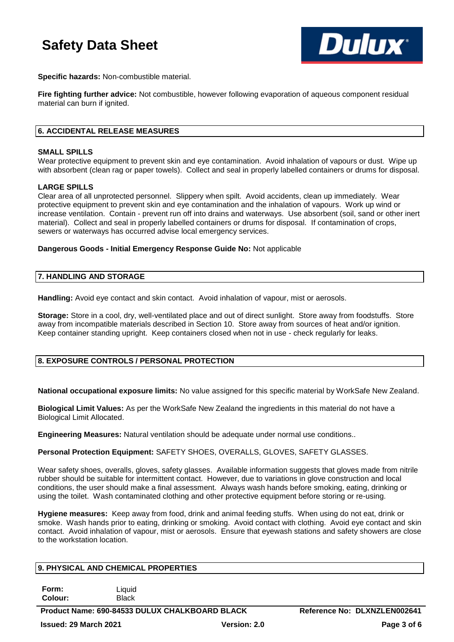

**Specific hazards:** Non-combustible material.

**Fire fighting further advice:** Not combustible, however following evaporation of aqueous component residual material can burn if ignited.

# **6. ACCIDENTAL RELEASE MEASURES**

### **SMALL SPILLS**

Wear protective equipment to prevent skin and eye contamination. Avoid inhalation of vapours or dust. Wipe up with absorbent (clean rag or paper towels). Collect and seal in properly labelled containers or drums for disposal.

### **LARGE SPILLS**

Clear area of all unprotected personnel. Slippery when spilt. Avoid accidents, clean up immediately. Wear protective equipment to prevent skin and eye contamination and the inhalation of vapours. Work up wind or increase ventilation. Contain - prevent run off into drains and waterways. Use absorbent (soil, sand or other inert material). Collect and seal in properly labelled containers or drums for disposal. If contamination of crops, sewers or waterways has occurred advise local emergency services.

**Dangerous Goods - Initial Emergency Response Guide No:** Not applicable

# **7. HANDLING AND STORAGE**

**Handling:** Avoid eye contact and skin contact. Avoid inhalation of vapour, mist or aerosols.

**Storage:** Store in a cool, dry, well-ventilated place and out of direct sunlight. Store away from foodstuffs. Store away from incompatible materials described in Section 10. Store away from sources of heat and/or ignition. Keep container standing upright. Keep containers closed when not in use - check regularly for leaks.

# **8. EXPOSURE CONTROLS / PERSONAL PROTECTION**

**National occupational exposure limits:** No value assigned for this specific material by WorkSafe New Zealand.

**Biological Limit Values:** As per the WorkSafe New Zealand the ingredients in this material do not have a Biological Limit Allocated.

**Engineering Measures:** Natural ventilation should be adequate under normal use conditions..

**Personal Protection Equipment:** SAFETY SHOES, OVERALLS, GLOVES, SAFETY GLASSES.

Wear safety shoes, overalls, gloves, safety glasses. Available information suggests that gloves made from nitrile rubber should be suitable for intermittent contact. However, due to variations in glove construction and local conditions, the user should make a final assessment. Always wash hands before smoking, eating, drinking or using the toilet. Wash contaminated clothing and other protective equipment before storing or re-using.

**Hygiene measures:** Keep away from food, drink and animal feeding stuffs. When using do not eat, drink or smoke. Wash hands prior to eating, drinking or smoking. Avoid contact with clothing. Avoid eye contact and skin contact. Avoid inhalation of vapour, mist or aerosols. Ensure that eyewash stations and safety showers are close to the workstation location.

| <b>9. PHI SIGAL AND GREINIGAL PROPERTIES</b> |                        |  |
|----------------------------------------------|------------------------|--|
|                                              |                        |  |
| Form:<br><b>Colour:</b>                      | ∟iquid<br><b>Black</b> |  |

**Product Name: 690-84533 DULUX CHALKBOARD BLACK Reference No: DLXNZLEN002641 Issued: 29 March 2021 Version: 2.0 Page 3 of 6**

**9. PHYSICAL AND CHEMICAL PROPERTIES**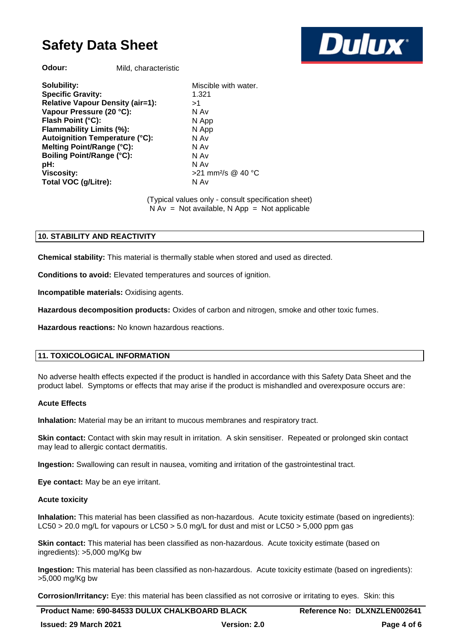**Dulux** 

**Odour:** Mild, characteristic

**Solubility:** Miscible with water. **Specific Gravity:** 1.321 **Relative Vapour Density (air=1):** >1 **Vapour Pressure (20 °C):** N Av **Flash Point (°C):** N App **Flammability Limits (%):** N App **Autoignition Temperature (°C):** N Av **Melting Point/Range (°C):** N Av **Boiling Point/Range (°C): pH:** N Av **Viscosity:**  $>21$  mm<sup>2</sup>/s @ 40 °C **Total VOC (q/Litre):** N Av

(Typical values only - consult specification sheet)  $N Av = Not available, N App = Not applicable$ 

# **10. STABILITY AND REACTIVITY**

**Chemical stability:** This material is thermally stable when stored and used as directed.

**Conditions to avoid:** Elevated temperatures and sources of ignition.

**Incompatible materials:** Oxidising agents.

**Hazardous decomposition products:** Oxides of carbon and nitrogen, smoke and other toxic fumes.

**Hazardous reactions:** No known hazardous reactions.

# **11. TOXICOLOGICAL INFORMATION**

No adverse health effects expected if the product is handled in accordance with this Safety Data Sheet and the product label. Symptoms or effects that may arise if the product is mishandled and overexposure occurs are:

### **Acute Effects**

**Inhalation:** Material may be an irritant to mucous membranes and respiratory tract.

**Skin contact:** Contact with skin may result in irritation. A skin sensitiser. Repeated or prolonged skin contact may lead to allergic contact dermatitis.

**Ingestion:** Swallowing can result in nausea, vomiting and irritation of the gastrointestinal tract.

**Eye contact:** May be an eye irritant.

### **Acute toxicity**

**Inhalation:** This material has been classified as non-hazardous. Acute toxicity estimate (based on ingredients): LC50 > 20.0 mg/L for vapours or LC50 > 5.0 mg/L for dust and mist or LC50 > 5,000 ppm gas

**Skin contact:** This material has been classified as non-hazardous. Acute toxicity estimate (based on ingredients): >5,000 mg/Kg bw

**Ingestion:** This material has been classified as non-hazardous. Acute toxicity estimate (based on ingredients): >5,000 mg/Kg bw

**Corrosion/Irritancy:** Eye: this material has been classified as not corrosive or irritating to eyes. Skin: this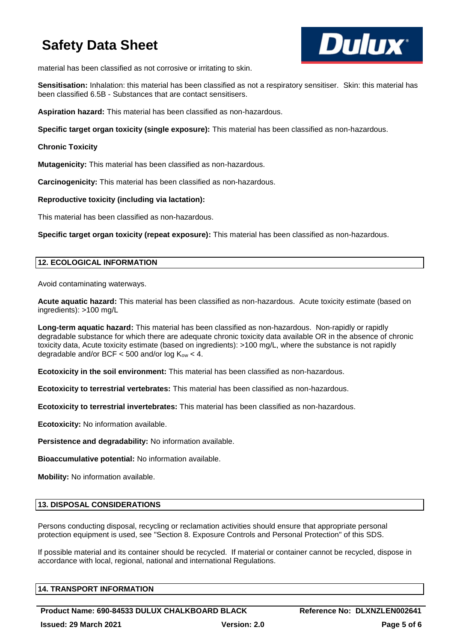

material has been classified as not corrosive or irritating to skin.

**Sensitisation:** Inhalation: this material has been classified as not a respiratory sensitiser. Skin: this material has been classified 6.5B - Substances that are contact sensitisers.

**Aspiration hazard:** This material has been classified as non-hazardous.

**Specific target organ toxicity (single exposure):** This material has been classified as non-hazardous.

# **Chronic Toxicity**

**Mutagenicity:** This material has been classified as non-hazardous.

**Carcinogenicity:** This material has been classified as non-hazardous.

# **Reproductive toxicity (including via lactation):**

This material has been classified as non-hazardous.

**Specific target organ toxicity (repeat exposure):** This material has been classified as non-hazardous.

# **12. ECOLOGICAL INFORMATION**

Avoid contaminating waterways.

**Acute aquatic hazard:** This material has been classified as non-hazardous. Acute toxicity estimate (based on ingredients): >100 mg/L

**Long-term aquatic hazard:** This material has been classified as non-hazardous. Non-rapidly or rapidly degradable substance for which there are adequate chronic toxicity data available OR in the absence of chronic toxicity data, Acute toxicity estimate (based on ingredients): >100 mg/L, where the substance is not rapidly degradable and/or BCF  $<$  500 and/or log K<sub>ow</sub>  $<$  4.

**Ecotoxicity in the soil environment:** This material has been classified as non-hazardous.

**Ecotoxicity to terrestrial vertebrates:** This material has been classified as non-hazardous.

**Ecotoxicity to terrestrial invertebrates:** This material has been classified as non-hazardous.

**Ecotoxicity:** No information available.

**Persistence and degradability:** No information available.

**Bioaccumulative potential:** No information available.

**Mobility:** No information available.

# **13. DISPOSAL CONSIDERATIONS**

Persons conducting disposal, recycling or reclamation activities should ensure that appropriate personal protection equipment is used, see "Section 8. Exposure Controls and Personal Protection" of this SDS.

If possible material and its container should be recycled. If material or container cannot be recycled, dispose in accordance with local, regional, national and international Regulations.

| <b>14. TRANSPORT INFORMATION</b> |  |
|----------------------------------|--|
|                                  |  |